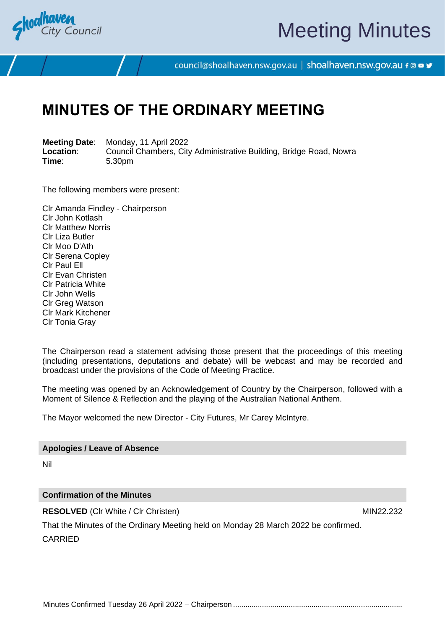

# Meeting Minutes

council@shoalhaven.nsw.gov.au | shoalhaven.nsw.gov.au f @ ■ y

# **MINUTES OF THE ORDINARY MEETING**

**Meeting Date**: Monday, 11 April 2022 **Location:** Council Chambers, City Administrative Building, Bridge Road, Nowra<br>
Time: 5.30pm **Time**: 5.30pm

The following members were present:

Clr Amanda Findley - Chairperson Clr John Kotlash Clr Matthew Norris Clr Liza Butler Clr Moo D'Ath Clr Serena Copley Clr Paul Ell Clr Evan Christen Clr Patricia White Clr John Wells Clr Greg Watson Clr Mark Kitchener Clr Tonia Gray

The Chairperson read a statement advising those present that the proceedings of this meeting (including presentations, deputations and debate) will be webcast and may be recorded and broadcast under the provisions of the Code of Meeting Practice.

The meeting was opened by an Acknowledgement of Country by the Chairperson, followed with a Moment of Silence & Reflection and the playing of the Australian National Anthem.

The Mayor welcomed the new Director - City Futures, Mr Carey McIntyre.

#### **Apologies / Leave of Absence**

Nil

#### **Confirmation of the Minutes**

**RESOLVED** (CIr White / CIr Christen) MIN22.232

That the Minutes of the Ordinary Meeting held on Monday 28 March 2022 be confirmed.

CARRIED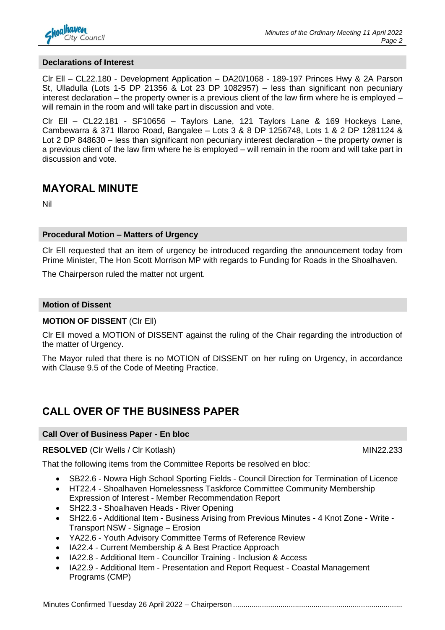

#### **Declarations of Interest**

Clr Ell – CL22.180 - Development Application – DA20/1068 - 189-197 Princes Hwy & 2A Parson St, Ulladulla (Lots 1-5 DP 21356 & Lot 23 DP 1082957) – less than significant non pecuniary interest declaration – the property owner is a previous client of the law firm where he is employed – will remain in the room and will take part in discussion and vote.

Clr Ell – CL22.181 - SF10656 – Taylors Lane, 121 Taylors Lane & 169 Hockeys Lane, Cambewarra & 371 Illaroo Road, Bangalee – Lots 3 & 8 DP 1256748, Lots 1 & 2 DP 1281124 & Lot 2 DP 848630 – less than significant non pecuniary interest declaration – the property owner is a previous client of the law firm where he is employed – will remain in the room and will take part in discussion and vote.

## **MAYORAL MINUTE**

Nil

#### **Procedural Motion – Matters of Urgency**

Clr Ell requested that an item of urgency be introduced regarding the announcement today from Prime Minister, The Hon Scott Morrison MP with regards to Funding for Roads in the Shoalhaven.

The Chairperson ruled the matter not urgent.

#### **Motion of Dissent**

#### **MOTION OF DISSENT** (Clr Ell)

Clr Ell moved a MOTION of DISSENT against the ruling of the Chair regarding the introduction of the matter of Urgency.

The Mayor ruled that there is no MOTION of DISSENT on her ruling on Urgency, in accordance with Clause 9.5 of the Code of Meeting Practice.

## **CALL OVER OF THE BUSINESS PAPER**

#### **Call Over of Business Paper - En bloc**

#### **RESOLVED** (CIr Wells / CIr Kotlash) MIN22.233

That the following items from the Committee Reports be resolved en bloc:

- SB22.6 Nowra High School Sporting Fields Council Direction for Termination of Licence
- HT22.4 Shoalhaven Homelessness Taskforce Committee Community Membership Expression of Interest - Member Recommendation Report
- SH22.3 Shoalhaven Heads River Opening
- SH22.6 Additional Item Business Arising from Previous Minutes 4 Knot Zone Write Transport NSW - Signage – Erosion
- YA22.6 Youth Advisory Committee Terms of Reference Review
- IA22.4 Current Membership & A Best Practice Approach
- IA22.8 Additional Item Councillor Training Inclusion & Access
- IA22.9 Additional Item Presentation and Report Request Coastal Management Programs (CMP)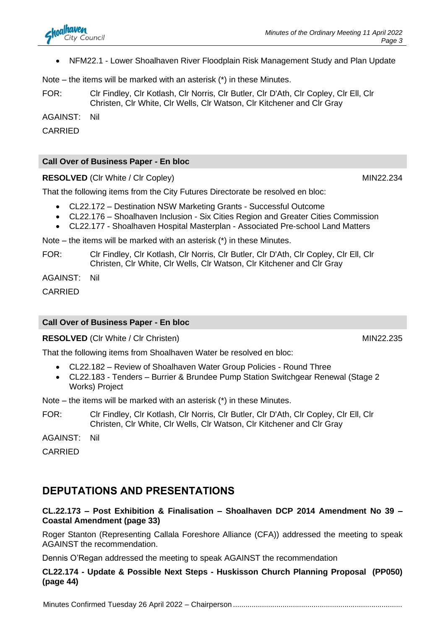• NFM22.1 - Lower Shoalhaven River Floodplain Risk Management Study and Plan Update

Note – the items will be marked with an asterisk (\*) in these Minutes.

FOR: Clr Findley, Clr Kotlash, Clr Norris, Clr Butler, Clr D'Ath, Clr Copley, Clr Ell, Clr Christen, Clr White, Clr Wells, Clr Watson, Clr Kitchener and Clr Gray

AGAINST: Nil

CARRIED

#### **Call Over of Business Paper - En bloc**

**RESOLVED** (CIr White / CIr Copley) MIN22.234

That the following items from the City Futures Directorate be resolved en bloc:

- CL22.172 Destination NSW Marketing Grants Successful Outcome
- CL22.176 Shoalhaven Inclusion Six Cities Region and Greater Cities Commission
- CL22.177 Shoalhaven Hospital Masterplan Associated Pre-school Land Matters

Note – the items will be marked with an asterisk (\*) in these Minutes.

FOR: Clr Findley, Clr Kotlash, Clr Norris, Clr Butler, Clr D'Ath, Clr Copley, Clr Ell, Clr Christen, Clr White, Clr Wells, Clr Watson, Clr Kitchener and Clr Gray

AGAINST: Nil

CARRIED

### **Call Over of Business Paper - En bloc**

**RESOLVED** (CIr White / CIr Christen) MIN22.235

That the following items from Shoalhaven Water be resolved en bloc:

- CL22.182 Review of Shoalhaven Water Group Policies Round Three
- CL22.183 Tenders Burrier & Brundee Pump Station Switchgear Renewal (Stage 2 Works) Project

Note – the items will be marked with an asterisk (\*) in these Minutes.

FOR: Clr Findley, Clr Kotlash, Clr Norris, Clr Butler, Clr D'Ath, Clr Copley, Clr Ell, Clr Christen, Clr White, Clr Wells, Clr Watson, Clr Kitchener and Clr Gray

AGAINST: Nil

CARRIED

## **DEPUTATIONS AND PRESENTATIONS**

#### **CL.22.173 – Post Exhibition & Finalisation – Shoalhaven DCP 2014 Amendment No 39 – Coastal Amendment (page 33)**

Roger Stanton (Representing Callala Foreshore Alliance (CFA)) addressed the meeting to speak AGAINST the recommendation.

Dennis O'Regan addressed the meeting to speak AGAINST the recommendation

**CL22.174 - Update & Possible Next Steps - Huskisson Church Planning Proposal (PP050) (page 44)**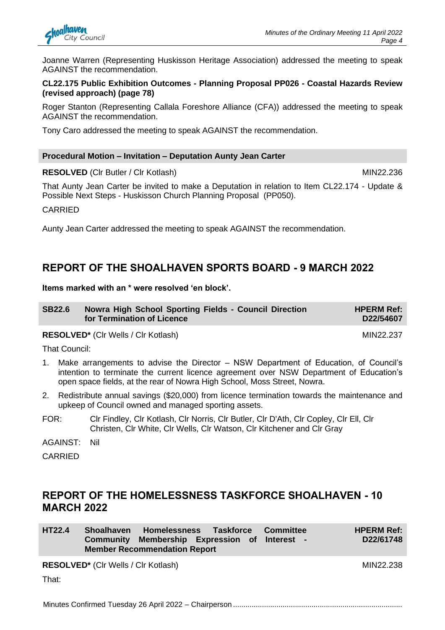

Joanne Warren (Representing Huskisson Heritage Association) addressed the meeting to speak AGAINST the recommendation.

#### **CL22.175 Public Exhibition Outcomes - Planning Proposal PP026 - Coastal Hazards Review (revised approach) (page 78)**

Roger Stanton (Representing Callala Foreshore Alliance (CFA)) addressed the meeting to speak AGAINST the recommendation.

Tony Caro addressed the meeting to speak AGAINST the recommendation.

#### **Procedural Motion – Invitation – Deputation Aunty Jean Carter**

**RESOLVED** (CIr Butler / CIr Kotlash) MIN22.236

That Aunty Jean Carter be invited to make a Deputation in relation to Item CL22.174 - Update & Possible Next Steps - Huskisson Church Planning Proposal (PP050).

CARRIED

Aunty Jean Carter addressed the meeting to speak AGAINST the recommendation.

## **REPORT OF THE SHOALHAVEN SPORTS BOARD - 9 MARCH 2022**

**Items marked with an \* were resolved 'en block'.**

| <b>SB22.6</b> | Nowra High School Sporting Fields - Council Direction | <b>HPERM Ref:</b> |
|---------------|-------------------------------------------------------|-------------------|
|               | for Termination of Licence                            | D22/54607         |

#### RESOLVED<sup>\*</sup> (Clr Wells / Clr Kotlash) MIN22.237

That Council:

- 1. Make arrangements to advise the Director NSW Department of Education, of Council's intention to terminate the current licence agreement over NSW Department of Education's open space fields, at the rear of Nowra High School, Moss Street, Nowra.
- 2. Redistribute annual savings (\$20,000) from licence termination towards the maintenance and upkeep of Council owned and managed sporting assets.
- FOR: Clr Findley, Clr Kotlash, Clr Norris, Clr Butler, Clr D'Ath, Clr Copley, Clr Ell, Clr Christen, Clr White, Clr Wells, Clr Watson, Clr Kitchener and Clr Gray

AGAINST: Nil

CARRIED

## **REPORT OF THE HOMELESSNESS TASKFORCE SHOALHAVEN - 10 MARCH 2022**

| <b>HT22.4</b> | Shoalhaven Homelessness Taskforce Committee   |  | <b>HPERM Ref:</b> |
|---------------|-----------------------------------------------|--|-------------------|
|               | Community Membership Expression of Interest - |  | D22/61748         |
|               | <b>Member Recommendation Report</b>           |  |                   |

**RESOLVED\*** (Cir Wells / Cir Kotlash) MIN22.238

That: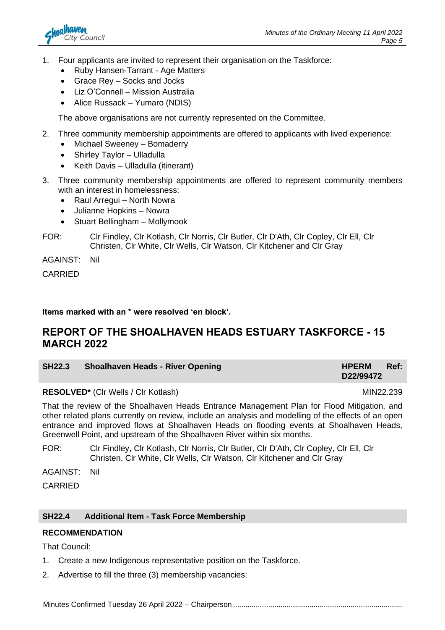

- 1. Four applicants are invited to represent their organisation on the Taskforce:
	- Ruby Hansen-Tarrant Age Matters
	- Grace Rey Socks and Jocks
	- Liz O'Connell Mission Australia
	- Alice Russack Yumaro (NDIS)

The above organisations are not currently represented on the Committee.

- 2. Three community membership appointments are offered to applicants with lived experience:
	- Michael Sweeney Bomaderry
	- Shirley Taylor Ulladulla
	- Keith Davis Ulladulla (itinerant)
- 3. Three community membership appointments are offered to represent community members with an interest in homelessness:
	- Raul Arregui North Nowra
	- Julianne Hopkins Nowra
	- Stuart Bellingham Mollymook

FOR: Clr Findley, Clr Kotlash, Clr Norris, Clr Butler, Clr D'Ath, Clr Copley, Clr Ell, Clr Christen, Clr White, Clr Wells, Clr Watson, Clr Kitchener and Clr Gray

AGAINST: Nil

CARRIED

#### **Items marked with an \* were resolved 'en block'.**

## **REPORT OF THE SHOALHAVEN HEADS ESTUARY TASKFORCE - 15 MARCH 2022**

| <b>SH22.3</b> | Shoalhaven Heads - River Opening | HPERM Ref: |  |
|---------------|----------------------------------|------------|--|
|               |                                  | D22/99472  |  |

**RESOLVED\*** (Cir Wells / Cir Kotlash) MIN22.239

That the review of the Shoalhaven Heads Entrance Management Plan for Flood Mitigation, and other related plans currently on review, include an analysis and modelling of the effects of an open entrance and improved flows at Shoalhaven Heads on flooding events at Shoalhaven Heads, Greenwell Point, and upstream of the Shoalhaven River within six months.

FOR: Clr Findley, Clr Kotlash, Clr Norris, Clr Butler, Clr D'Ath, Clr Copley, Clr Ell, Clr Christen, Clr White, Clr Wells, Clr Watson, Clr Kitchener and Clr Gray

AGAINST: Nil

CARRIED

#### **SH22.4 Additional Item - Task Force Membership**

#### **RECOMMENDATION**

That Council:

- 1. Create a new Indigenous representative position on the Taskforce.
- 2. Advertise to fill the three (3) membership vacancies: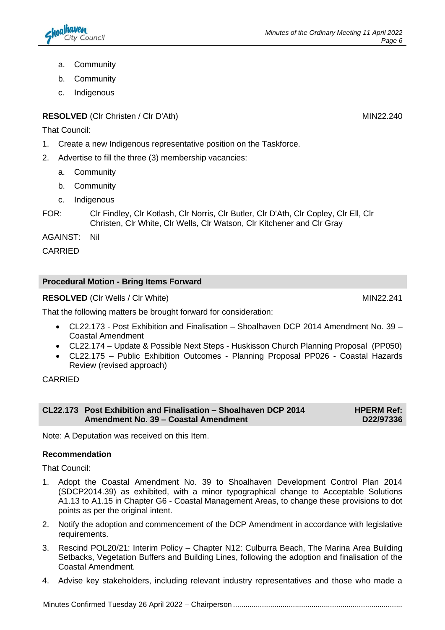- a. Community
- b. Community
- c. Indigenous

### **RESOLVED** (Clr Christen / Clr D'Ath) MIN22.240

That Council:

- 1. Create a new Indigenous representative position on the Taskforce.
- 2. Advertise to fill the three (3) membership vacancies:
	- a. Community
	- b. Community
	- c. Indigenous
- FOR: Clr Findley, Clr Kotlash, Clr Norris, Clr Butler, Clr D'Ath, Clr Copley, Clr Ell, Clr Christen, Clr White, Clr Wells, Clr Watson, Clr Kitchener and Clr Gray

AGAINST: Nil

CARRIED

### **Procedural Motion - Bring Items Forward**

**RESOLVED** (Cir Wells / Cir White) MIN22.241

That the following matters be brought forward for consideration:

- CL22.173 Post Exhibition and Finalisation Shoalhaven DCP 2014 Amendment No. 39 Coastal Amendment
- CL22.174 Update & Possible Next Steps Huskisson Church Planning Proposal (PP050)
- CL22.175 Public Exhibition Outcomes Planning Proposal PP026 Coastal Hazards Review (revised approach)

CARRIED

| CL22.173 Post Exhibition and Finalisation – Shoalhaven DCP 2014 | <b>HPERM Ref:</b> |
|-----------------------------------------------------------------|-------------------|
| Amendment No. 39 - Coastal Amendment                            | D22/97336         |

Note: A Deputation was received on this Item.

#### **Recommendation**

That Council:

- 1. Adopt the Coastal Amendment No. 39 to Shoalhaven Development Control Plan 2014 (SDCP2014.39) as exhibited, with a minor typographical change to Acceptable Solutions A1.13 to A1.15 in Chapter G6 - Coastal Management Areas, to change these provisions to dot points as per the original intent.
- 2. Notify the adoption and commencement of the DCP Amendment in accordance with legislative requirements.
- 3. Rescind POL20/21: Interim Policy Chapter N12: Culburra Beach, The Marina Area Building Setbacks, Vegetation Buffers and Building Lines, following the adoption and finalisation of the Coastal Amendment.
- 4. Advise key stakeholders, including relevant industry representatives and those who made a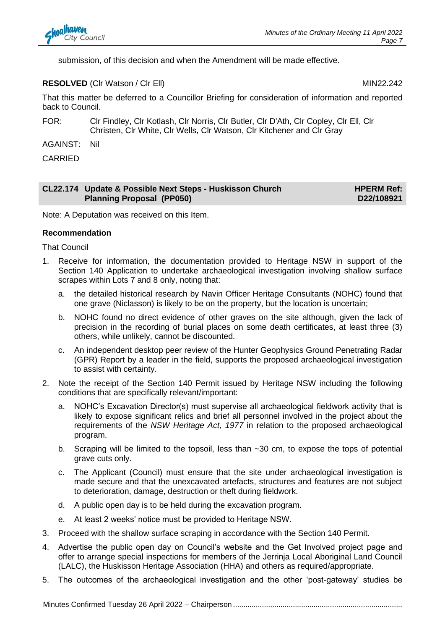submission, of this decision and when the Amendment will be made effective.

#### **RESOLVED** (CIr Watson / CIr Ell) MIN22.242

That this matter be deferred to a Councillor Briefing for consideration of information and reported back to Council.

FOR: Clr Findley, Clr Kotlash, Clr Norris, Clr Butler, Clr D'Ath, Clr Copley, Clr Ell, Clr Christen, Clr White, Clr Wells, Clr Watson, Clr Kitchener and Clr Gray

AGAINST: Nil

CARRIED

#### **CL22.174 Update & Possible Next Steps - Huskisson Church Planning Proposal (PP050) HPERM Ref: D22/108921**

Note: A Deputation was received on this Item.

#### **Recommendation**

That Council

- 1. Receive for information, the documentation provided to Heritage NSW in support of the Section 140 Application to undertake archaeological investigation involving shallow surface scrapes within Lots 7 and 8 only, noting that:
	- a. the detailed historical research by Navin Officer Heritage Consultants (NOHC) found that one grave (Niclasson) is likely to be on the property, but the location is uncertain;
	- b. NOHC found no direct evidence of other graves on the site although, given the lack of precision in the recording of burial places on some death certificates, at least three (3) others, while unlikely, cannot be discounted.
	- c. An independent desktop peer review of the Hunter Geophysics Ground Penetrating Radar (GPR) Report by a leader in the field, supports the proposed archaeological investigation to assist with certainty.
- 2. Note the receipt of the Section 140 Permit issued by Heritage NSW including the following conditions that are specifically relevant/important:
	- a. NOHC's Excavation Director(s) must supervise all archaeological fieldwork activity that is likely to expose significant relics and brief all personnel involved in the project about the requirements of the *NSW Heritage Act, 1977* in relation to the proposed archaeological program.
	- b. Scraping will be limited to the topsoil, less than  $\sim$ 30 cm, to expose the tops of potential grave cuts only.
	- c. The Applicant (Council) must ensure that the site under archaeological investigation is made secure and that the unexcavated artefacts, structures and features are not subject to deterioration, damage, destruction or theft during fieldwork.
	- d. A public open day is to be held during the excavation program.
	- e. At least 2 weeks' notice must be provided to Heritage NSW.
- 3. Proceed with the shallow surface scraping in accordance with the Section 140 Permit.
- 4. Advertise the public open day on Council's website and the Get Involved project page and offer to arrange special inspections for members of the Jerrinja Local Aboriginal Land Council (LALC), the Huskisson Heritage Association (HHA) and others as required/appropriate.
- 5. The outcomes of the archaeological investigation and the other 'post-gateway' studies be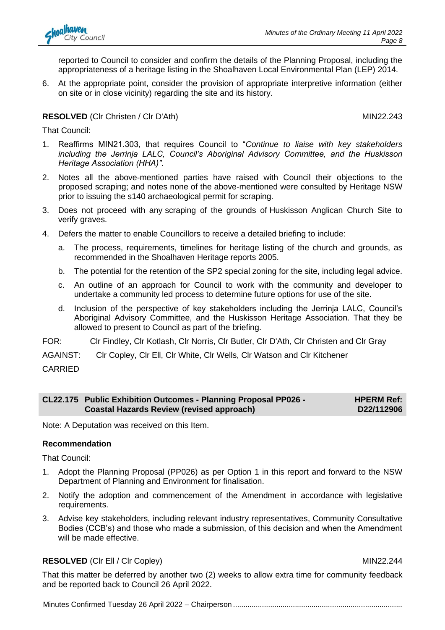reported to Council to consider and confirm the details of the Planning Proposal, including the appropriateness of a heritage listing in the Shoalhaven Local Environmental Plan (LEP) 2014.

6. At the appropriate point, consider the provision of appropriate interpretive information (either on site or in close vicinity) regarding the site and its history.

#### **RESOLVED** (CIr Christen / CIr D'Ath) MIN22.243

That Council:

- 1. Reaffirms MIN21.303, that requires Council to "*Continue to liaise with key stakeholders including the Jerrinja LALC, Council's Aboriginal Advisory Committee, and the Huskisson Heritage Association (HHA)".*
- 2. Notes all the above-mentioned parties have raised with Council their objections to the proposed scraping; and notes none of the above-mentioned were consulted by Heritage NSW prior to issuing the s140 archaeological permit for scraping.
- 3. Does not proceed with any scraping of the grounds of Huskisson Anglican Church Site to verify graves.
- 4. Defers the matter to enable Councillors to receive a detailed briefing to include:
	- The process, requirements, timelines for heritage listing of the church and grounds, as recommended in the Shoalhaven Heritage reports 2005.
	- b. The potential for the retention of the SP2 special zoning for the site, including legal advice.
	- c. An outline of an approach for Council to work with the community and developer to undertake a community led process to determine future options for use of the site.
	- d. Inclusion of the perspective of key stakeholders including the Jerrinja LALC, Council's Aboriginal Advisory Committee, and the Huskisson Heritage Association. That they be allowed to present to Council as part of the briefing.
- FOR: Clr Findley, Clr Kotlash, Clr Norris, Clr Butler, Clr D'Ath, Clr Christen and Clr Gray
- AGAINST: Clr Copley, Clr Ell, Clr White, Clr Wells, Clr Watson and Clr Kitchener

CARRIED

#### **CL22.175 Public Exhibition Outcomes - Planning Proposal PP026 - Coastal Hazards Review (revised approach) HPERM Ref: D22/112906**

Note: A Deputation was received on this Item.

#### **Recommendation**

That Council:

- 1. Adopt the Planning Proposal (PP026) as per Option 1 in this report and forward to the NSW Department of Planning and Environment for finalisation.
- 2. Notify the adoption and commencement of the Amendment in accordance with legislative requirements.
- 3. Advise key stakeholders, including relevant industry representatives, Community Consultative Bodies (CCB's) and those who made a submission, of this decision and when the Amendment will be made effective.

#### **RESOLVED** (CIr Ell / Cir Copley) MIN22.244

That this matter be deferred by another two (2) weeks to allow extra time for community feedback and be reported back to Council 26 April 2022.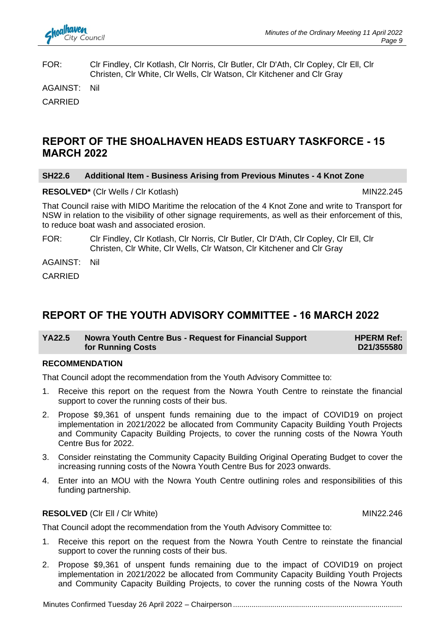

FOR: Clr Findley, Clr Kotlash, Clr Norris, Clr Butler, Clr D'Ath, Clr Copley, Clr Ell, Clr Christen, Clr White, Clr Wells, Clr Watson, Clr Kitchener and Clr Gray

AGAINST: Nil

CARRIED

## **REPORT OF THE SHOALHAVEN HEADS ESTUARY TASKFORCE - 15 MARCH 2022**

#### **SH22.6 Additional Item - Business Arising from Previous Minutes - 4 Knot Zone**

#### RESOLVED<sup>\*</sup> (Clr Wells / Clr Kotlash) MIN22.245

That Council raise with MIDO Maritime the relocation of the 4 Knot Zone and write to Transport for NSW in relation to the visibility of other signage requirements, as well as their enforcement of this, to reduce boat wash and associated erosion.

FOR: Clr Findley, Clr Kotlash, Clr Norris, Clr Butler, Clr D'Ath, Clr Copley, Clr Ell, Clr Christen, Clr White, Clr Wells, Clr Watson, Clr Kitchener and Clr Gray

AGAINST: Nil

CARRIED

## **REPORT OF THE YOUTH ADVISORY COMMITTEE - 16 MARCH 2022**

| YA22.5 | Nowra Youth Centre Bus - Request for Financial Support | <b>HPERM Ref:</b> |
|--------|--------------------------------------------------------|-------------------|
|        | for Running Costs                                      | D21/355580        |

#### **RECOMMENDATION**

That Council adopt the recommendation from the Youth Advisory Committee to:

- 1. Receive this report on the request from the Nowra Youth Centre to reinstate the financial support to cover the running costs of their bus.
- 2. Propose \$9,361 of unspent funds remaining due to the impact of COVID19 on project implementation in 2021/2022 be allocated from Community Capacity Building Youth Projects and Community Capacity Building Projects, to cover the running costs of the Nowra Youth Centre Bus for 2022.
- 3. Consider reinstating the Community Capacity Building Original Operating Budget to cover the increasing running costs of the Nowra Youth Centre Bus for 2023 onwards.
- 4. Enter into an MOU with the Nowra Youth Centre outlining roles and responsibilities of this funding partnership.

#### **RESOLVED** (CIr Ell / CIr White) MIN22.246

That Council adopt the recommendation from the Youth Advisory Committee to:

- 1. Receive this report on the request from the Nowra Youth Centre to reinstate the financial support to cover the running costs of their bus.
- 2. Propose \$9,361 of unspent funds remaining due to the impact of COVID19 on project implementation in 2021/2022 be allocated from Community Capacity Building Youth Projects and Community Capacity Building Projects, to cover the running costs of the Nowra Youth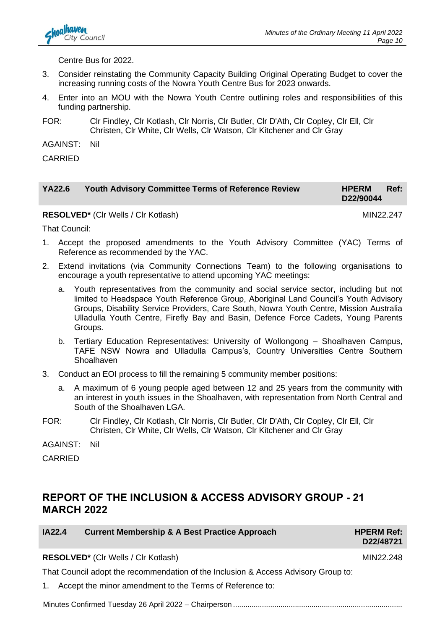

Centre Bus for 2022.

- 3. Consider reinstating the Community Capacity Building Original Operating Budget to cover the increasing running costs of the Nowra Youth Centre Bus for 2023 onwards.
- 4. Enter into an MOU with the Nowra Youth Centre outlining roles and responsibilities of this funding partnership.
- FOR: Clr Findley, Clr Kotlash, Clr Norris, Clr Butler, Clr D'Ath, Clr Copley, Clr Ell, Clr Christen, Clr White, Clr Wells, Clr Watson, Clr Kitchener and Clr Gray
- AGAINST: Nil

CARRIED

| <b>YA22.6</b> | <b>Youth Advisory Committee Terms of Reference Review</b> | <b>HPERM</b> | Ref: |
|---------------|-----------------------------------------------------------|--------------|------|
|               |                                                           | D22/90044    |      |

**RESOLVED<sup>\*</sup>** (Cir Wells / Cir Kotlash) MIN22.247

That Council:

- 1. Accept the proposed amendments to the Youth Advisory Committee (YAC) Terms of Reference as recommended by the YAC.
- 2. Extend invitations (via Community Connections Team) to the following organisations to encourage a youth representative to attend upcoming YAC meetings:
	- a. Youth representatives from the community and social service sector, including but not limited to Headspace Youth Reference Group, Aboriginal Land Council's Youth Advisory Groups, Disability Service Providers, Care South, Nowra Youth Centre, Mission Australia Ulladulla Youth Centre, Firefly Bay and Basin, Defence Force Cadets, Young Parents Groups.
	- b. Tertiary Education Representatives: University of Wollongong Shoalhaven Campus, TAFE NSW Nowra and Ulladulla Campus's, Country Universities Centre Southern **Shoalhaven**
- 3. Conduct an EOI process to fill the remaining 5 community member positions:
	- a. A maximum of 6 young people aged between 12 and 25 years from the community with an interest in youth issues in the Shoalhaven, with representation from North Central and South of the Shoalhaven LGA.
- FOR: Clr Findley, Clr Kotlash, Clr Norris, Clr Butler, Clr D'Ath, Clr Copley, Clr Ell, Clr Christen, Clr White, Clr Wells, Clr Watson, Clr Kitchener and Clr Gray

AGAINST: Nil

CARRIED

## **REPORT OF THE INCLUSION & ACCESS ADVISORY GROUP - 21 MARCH 2022**

| IA22.4 | <b>Current Membership &amp; A Best Practice Approach</b> |
|--------|----------------------------------------------------------|
|--------|----------------------------------------------------------|

**IAPERM Ref: D22/48721**

**RESOLVED\*** (Cir Wells / Cir Kotlash) MIN22.248

That Council adopt the recommendation of the Inclusion & Access Advisory Group to:

1. Accept the minor amendment to the Terms of Reference to: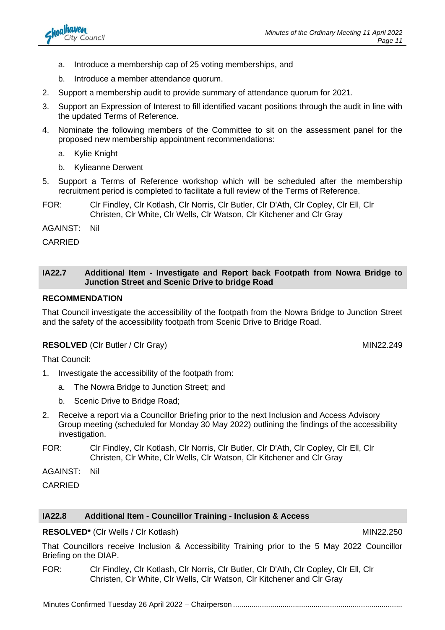

- b. Introduce a member attendance quorum.
- 2. Support a membership audit to provide summary of attendance quorum for 2021.
- 3. Support an Expression of Interest to fill identified vacant positions through the audit in line with the updated Terms of Reference.
- 4. Nominate the following members of the Committee to sit on the assessment panel for the proposed new membership appointment recommendations:
	- a. Kylie Knight
	- b. Kylieanne Derwent
- 5. Support a Terms of Reference workshop which will be scheduled after the membership recruitment period is completed to facilitate a full review of the Terms of Reference.
- FOR: Clr Findley, Clr Kotlash, Clr Norris, Clr Butler, Clr D'Ath, Clr Copley, Clr Ell, Clr Christen, Clr White, Clr Wells, Clr Watson, Clr Kitchener and Clr Gray

AGAINST: Nil

CARRIED

#### **IA22.7 Additional Item - Investigate and Report back Footpath from Nowra Bridge to Junction Street and Scenic Drive to bridge Road**

#### **RECOMMENDATION**

That Council investigate the accessibility of the footpath from the Nowra Bridge to Junction Street and the safety of the accessibility footpath from Scenic Drive to Bridge Road.

#### **RESOLVED** (CIr Butler / CIr Gray) MIN22.249

That Council:

- 1. Investigate the accessibility of the footpath from:
	- a. The Nowra Bridge to Junction Street; and
	- b. Scenic Drive to Bridge Road;
- 2. Receive a report via a Councillor Briefing prior to the next Inclusion and Access Advisory Group meeting (scheduled for Monday 30 May 2022) outlining the findings of the accessibility investigation.
- FOR: Clr Findley, Clr Kotlash, Clr Norris, Clr Butler, Clr D'Ath, Clr Copley, Clr Ell, Clr Christen, Clr White, Clr Wells, Clr Watson, Clr Kitchener and Clr Gray

AGAINST: Nil

CARRIED

#### **IA22.8 Additional Item - Councillor Training - Inclusion & Access**

#### **RESOLVED\*** (Cir Wells / Cir Kotlash) MIN22.250

That Councillors receive Inclusion & Accessibility Training prior to the 5 May 2022 Councillor Briefing on the DIAP.

FOR: Clr Findley, Clr Kotlash, Clr Norris, Clr Butler, Clr D'Ath, Clr Copley, Clr Ell, Clr Christen, Clr White, Clr Wells, Clr Watson, Clr Kitchener and Clr Gray

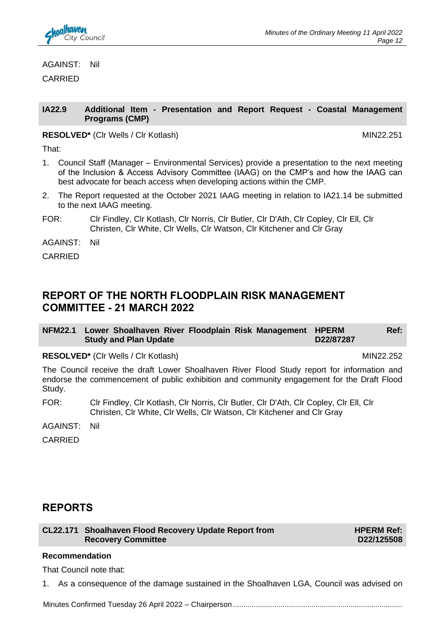AGAINST: Nil

CARRIED

#### **IA22.9 Additional Item - Presentation and Report Request - Coastal Management Programs (CMP)**

#### **RESOLVED\*** (CIr Wells / CIr Kotlash) MIN22.251

That:

- 1. Council Staff (Manager Environmental Services) provide a presentation to the next meeting of the Inclusion & Access Advisory Committee (IAAG) on the CMP's and how the IAAG can best advocate for beach access when developing actions within the CMP.
- 2. The Report requested at the October 2021 IAAG meeting in relation to IA21.14 be submitted to the next IAAG meeting.
- FOR: Clr Findley, Clr Kotlash, Clr Norris, Clr Butler, Clr D'Ath, Clr Copley, Clr Ell, Clr Christen, Clr White, Clr Wells, Clr Watson, Clr Kitchener and Clr Gray

AGAINST: Nil

CARRIED

## **REPORT OF THE NORTH FLOODPLAIN RISK MANAGEMENT COMMITTEE - 21 MARCH 2022**

| NFM22.1 Lower Shoalhaven River Floodplain Risk Management HPERM |  |  |           | Ref: |
|-----------------------------------------------------------------|--|--|-----------|------|
| <b>Study and Plan Update</b>                                    |  |  | D22/87287 |      |

### **RESOLVED\*** (CIr Wells / CIr Kotlash) MIN22.252

The Council receive the draft Lower Shoalhaven River Flood Study report for information and endorse the commencement of public exhibition and community engagement for the Draft Flood Study.

- FOR: Clr Findley, Clr Kotlash, Clr Norris, Clr Butler, Clr D'Ath, Clr Copley, Clr Ell, Clr Christen, Clr White, Clr Wells, Clr Watson, Clr Kitchener and Clr Gray
- AGAINST: Nil

CARRIED

# **REPORTS**

**CL22.171 Shoalhaven Flood Recovery Update Report from Recovery Committee**

**HPERM Ref: D22/125508**

### **Recommendation**

That Council note that:

1. As a consequence of the damage sustained in the Shoalhaven LGA, Council was advised on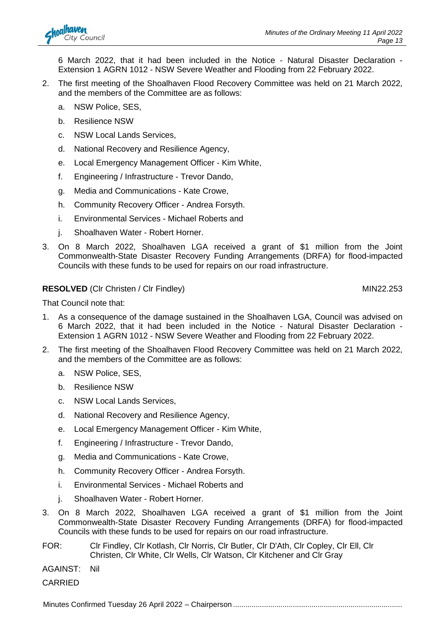6 March 2022, that it had been included in the Notice - Natural Disaster Declaration - Extension 1 AGRN 1012 - NSW Severe Weather and Flooding from 22 February 2022.

- 2. The first meeting of the Shoalhaven Flood Recovery Committee was held on 21 March 2022, and the members of the Committee are as follows:
	- a. NSW Police, SES,
	- b. Resilience NSW
	- c. NSW Local Lands Services,
	- d. National Recovery and Resilience Agency,
	- e. Local Emergency Management Officer Kim White,
	- f. Engineering / Infrastructure Trevor Dando,
	- g. Media and Communications Kate Crowe,
	- h. Community Recovery Officer Andrea Forsyth.
	- i. Environmental Services Michael Roberts and
	- j. Shoalhaven Water Robert Horner.
- 3. On 8 March 2022, Shoalhaven LGA received a grant of \$1 million from the Joint Commonwealth-State Disaster Recovery Funding Arrangements (DRFA) for flood-impacted Councils with these funds to be used for repairs on our road infrastructure.

### **RESOLVED** (CIr Christen / CIr Findley) MIN22.253

That Council note that:

- 1. As a consequence of the damage sustained in the Shoalhaven LGA, Council was advised on 6 March 2022, that it had been included in the Notice - Natural Disaster Declaration - Extension 1 AGRN 1012 - NSW Severe Weather and Flooding from 22 February 2022.
- 2. The first meeting of the Shoalhaven Flood Recovery Committee was held on 21 March 2022, and the members of the Committee are as follows:
	- a. NSW Police, SES,
	- b. Resilience NSW
	- c. NSW Local Lands Services,
	- d. National Recovery and Resilience Agency,
	- e. Local Emergency Management Officer Kim White,
	- f. Engineering / Infrastructure Trevor Dando,
	- g. Media and Communications Kate Crowe,
	- h. Community Recovery Officer Andrea Forsyth.
	- i. Environmental Services Michael Roberts and
	- j. Shoalhaven Water Robert Horner.
- 3. On 8 March 2022, Shoalhaven LGA received a grant of \$1 million from the Joint Commonwealth-State Disaster Recovery Funding Arrangements (DRFA) for flood-impacted Councils with these funds to be used for repairs on our road infrastructure.
- FOR: Clr Findley, Clr Kotlash, Clr Norris, Clr Butler, Clr D'Ath, Clr Copley, Clr Ell, Clr Christen, Clr White, Clr Wells, Clr Watson, Clr Kitchener and Clr Gray
- AGAINST: Nil
- CARRIED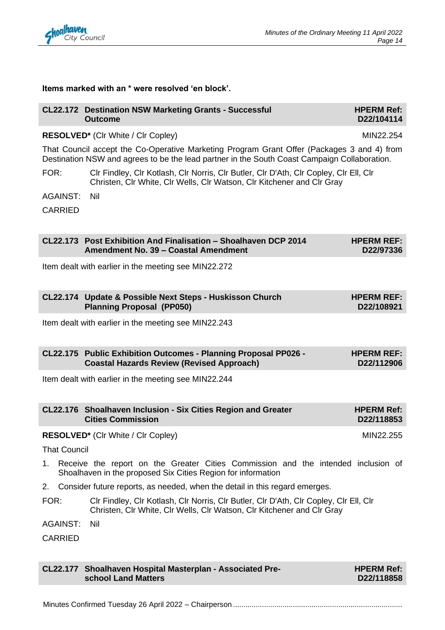

#### **Items marked with an \* were resolved 'en block'.**

|                     | <b>CL22.172 Destination NSW Marketing Grants - Successful</b><br><b>Outcome</b>                                                                                                            | <b>HPERM Ref:</b><br>D22/104114 |
|---------------------|--------------------------------------------------------------------------------------------------------------------------------------------------------------------------------------------|---------------------------------|
|                     | <b>RESOLVED*</b> (CIr White / CIr Copley)                                                                                                                                                  | MIN22.254                       |
|                     | That Council accept the Co-Operative Marketing Program Grant Offer (Packages 3 and 4) from<br>Destination NSW and agrees to be the lead partner in the South Coast Campaign Collaboration. |                                 |
| FOR:                | CIr Findley, CIr Kotlash, CIr Norris, CIr Butler, CIr D'Ath, CIr Copley, CIr Ell, CIr<br>Christen, CIr White, CIr Wells, CIr Watson, CIr Kitchener and CIr Gray                            |                                 |
| AGAINST:            | Nil                                                                                                                                                                                        |                                 |
| <b>CARRIED</b>      |                                                                                                                                                                                            |                                 |
|                     | CL22.173 Post Exhibition And Finalisation - Shoalhaven DCP 2014<br>Amendment No. 39 - Coastal Amendment                                                                                    | <b>HPERM REF:</b><br>D22/97336  |
|                     | Item dealt with earlier in the meeting see MIN22.272                                                                                                                                       |                                 |
|                     | CL22.174 Update & Possible Next Steps - Huskisson Church<br><b>Planning Proposal (PP050)</b>                                                                                               | <b>HPERM REF:</b><br>D22/108921 |
|                     | Item dealt with earlier in the meeting see MIN22.243                                                                                                                                       |                                 |
|                     | CL22.175 Public Exhibition Outcomes - Planning Proposal PP026 -<br><b>Coastal Hazards Review (Revised Approach)</b>                                                                        | <b>HPERM REF:</b><br>D22/112906 |
|                     | Item dealt with earlier in the meeting see MIN22.244                                                                                                                                       |                                 |
|                     | CL22.176 Shoalhaven Inclusion - Six Cities Region and Greater<br><b>Cities Commission</b>                                                                                                  | <b>HPERM Ref:</b><br>D22/118853 |
|                     | <b>RESOLVED*</b> (CIr White / CIr Copley)                                                                                                                                                  | MIN22.255                       |
| <b>That Council</b> |                                                                                                                                                                                            |                                 |
| 1.                  | Receive the report on the Greater Cities Commission and the intended inclusion of<br>Shoalhaven in the proposed Six Cities Region for information                                          |                                 |
| 2.                  | Consider future reports, as needed, when the detail in this regard emerges.                                                                                                                |                                 |
| FOR:                | CIr Findley, CIr Kotlash, CIr Norris, CIr Butler, CIr D'Ath, CIr Copley, CIr Ell, CIr<br>Christen, CIr White, CIr Wells, CIr Watson, CIr Kitchener and CIr Gray                            |                                 |
| <b>AGAINST:</b>     | Nil                                                                                                                                                                                        |                                 |
| <b>CARRIED</b>      |                                                                                                                                                                                            |                                 |

**CL22.177 Shoalhaven Hospital Masterplan - Associated Preschool Land Matters HPERM Ref: D22/118858**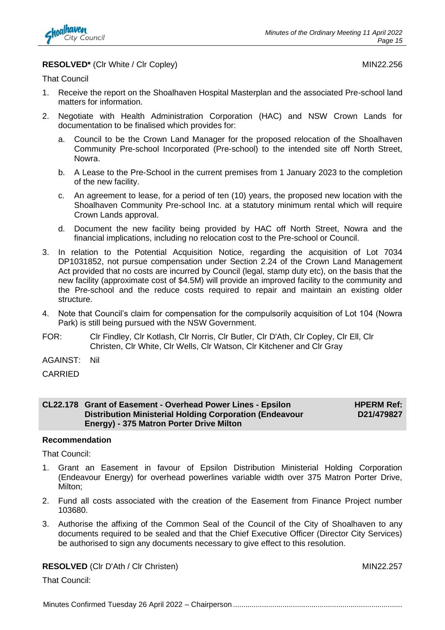

#### **RESOLVED<sup>\*</sup>** (Clr White / Clr Copley) MIN22.256

That Council

- 1. Receive the report on the Shoalhaven Hospital Masterplan and the associated Pre-school land matters for information.
- 2. Negotiate with Health Administration Corporation (HAC) and NSW Crown Lands for documentation to be finalised which provides for:
	- a. Council to be the Crown Land Manager for the proposed relocation of the Shoalhaven Community Pre-school Incorporated (Pre-school) to the intended site off North Street, Nowra.
	- b. A Lease to the Pre-School in the current premises from 1 January 2023 to the completion of the new facility.
	- c. An agreement to lease, for a period of ten (10) years, the proposed new location with the Shoalhaven Community Pre-school Inc. at a statutory minimum rental which will require Crown Lands approval.
	- d. Document the new facility being provided by HAC off North Street, Nowra and the financial implications, including no relocation cost to the Pre-school or Council.
- 3. In relation to the Potential Acquisition Notice, regarding the acquisition of Lot 7034 DP1031852, not pursue compensation under Section 2.24 of the Crown Land Management Act provided that no costs are incurred by Council (legal, stamp duty etc), on the basis that the new facility (approximate cost of \$4.5M) will provide an improved facility to the community and the Pre-school and the reduce costs required to repair and maintain an existing older structure.
- 4. Note that Council's claim for compensation for the compulsorily acquisition of Lot 104 (Nowra Park) is still being pursued with the NSW Government.
- FOR: Clr Findley, Clr Kotlash, Clr Norris, Clr Butler, Clr D'Ath, Clr Copley, Clr Ell, Clr Christen, Clr White, Clr Wells, Clr Watson, Clr Kitchener and Clr Gray
- AGAINST: Nil
- CARRIED

#### **CL22.178 Grant of Easement - Overhead Power Lines - Epsilon Distribution Ministerial Holding Corporation (Endeavour Energy) - 375 Matron Porter Drive Milton**

**HPERM Ref: D21/479827**

#### **Recommendation**

That Council:

- 1. Grant an Easement in favour of Epsilon Distribution Ministerial Holding Corporation (Endeavour Energy) for overhead powerlines variable width over 375 Matron Porter Drive, Milton;
- 2. Fund all costs associated with the creation of the Easement from Finance Project number 103680.
- 3. Authorise the affixing of the Common Seal of the Council of the City of Shoalhaven to any documents required to be sealed and that the Chief Executive Officer (Director City Services) be authorised to sign any documents necessary to give effect to this resolution.

#### **RESOLVED** (Clr D'Ath / Clr Christen) MIN22.257

That Council: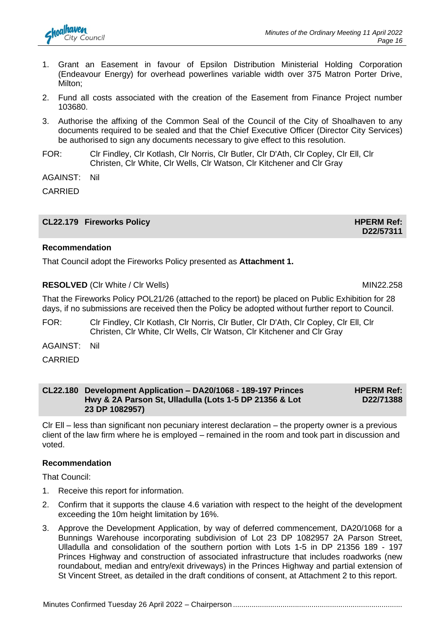

- 1. Grant an Easement in favour of Epsilon Distribution Ministerial Holding Corporation (Endeavour Energy) for overhead powerlines variable width over 375 Matron Porter Drive, Milton;
- 2. Fund all costs associated with the creation of the Easement from Finance Project number 103680.
- 3. Authorise the affixing of the Common Seal of the Council of the City of Shoalhaven to any documents required to be sealed and that the Chief Executive Officer (Director City Services) be authorised to sign any documents necessary to give effect to this resolution.
- FOR: Clr Findley, Clr Kotlash, Clr Norris, Clr Butler, Clr D'Ath, Clr Copley, Clr Ell, Clr Christen, Clr White, Clr Wells, Clr Watson, Clr Kitchener and Clr Gray

AGAINST: Nil

CARRIED

**CL22.179 Fireworks Policy HPERM Ref:** 

#### **Recommendation**

That Council adopt the Fireworks Policy presented as **Attachment 1.**

#### **RESOLVED** (CIr White / CIr Wells) MIN22.258

That the Fireworks Policy POL21/26 (attached to the report) be placed on Public Exhibition for 28 days, if no submissions are received then the Policy be adopted without further report to Council.

- FOR: Clr Findley, Clr Kotlash, Clr Norris, Clr Butler, Clr D'Ath, Clr Copley, Clr Ell, Clr Christen, Clr White, Clr Wells, Clr Watson, Clr Kitchener and Clr Gray
- AGAINST: Nil
- CARRIED

#### **CL22.180 Development Application – DA20/1068 - 189-197 Princes Hwy & 2A Parson St, Ulladulla (Lots 1-5 DP 21356 & Lot 23 DP 1082957) HPERM Ref: D22/71388**

Clr Ell – less than significant non pecuniary interest declaration – the property owner is a previous client of the law firm where he is employed – remained in the room and took part in discussion and voted.

#### **Recommendation**

That Council:

- 1. Receive this report for information.
- 2. Confirm that it supports the clause 4.6 variation with respect to the height of the development exceeding the 10m height limitation by 16%.
- 3. Approve the Development Application, by way of deferred commencement, DA20/1068 for a Bunnings Warehouse incorporating subdivision of Lot 23 DP 1082957 2A Parson Street, Ulladulla and consolidation of the southern portion with Lots 1-5 in DP 21356 189 - 197 Princes Highway and construction of associated infrastructure that includes roadworks (new roundabout, median and entry/exit driveways) in the Princes Highway and partial extension of St Vincent Street, as detailed in the draft conditions of consent, at Attachment 2 to this report.

**D22/57311**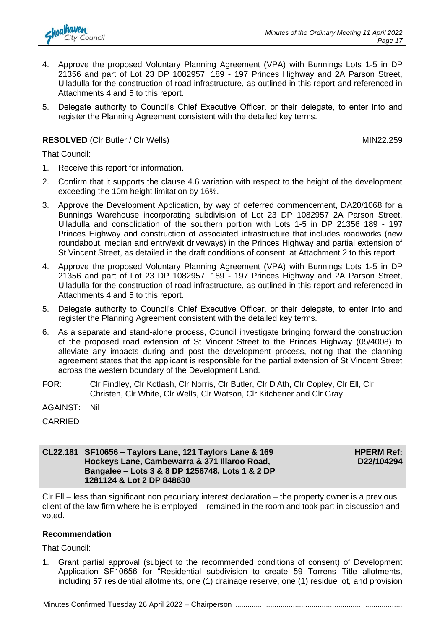

- 4. Approve the proposed Voluntary Planning Agreement (VPA) with Bunnings Lots 1-5 in DP 21356 and part of Lot 23 DP 1082957, 189 - 197 Princes Highway and 2A Parson Street, Ulladulla for the construction of road infrastructure, as outlined in this report and referenced in Attachments 4 and 5 to this report.
- 5. Delegate authority to Council's Chief Executive Officer, or their delegate, to enter into and register the Planning Agreement consistent with the detailed key terms.

#### **RESOLVED** (CIr Butler / Cir Wells) MIN22.259

That Council:

- 1. Receive this report for information.
- 2. Confirm that it supports the clause 4.6 variation with respect to the height of the development exceeding the 10m height limitation by 16%.
- 3. Approve the Development Application, by way of deferred commencement, DA20/1068 for a Bunnings Warehouse incorporating subdivision of Lot 23 DP 1082957 2A Parson Street, Ulladulla and consolidation of the southern portion with Lots 1-5 in DP 21356 189 - 197 Princes Highway and construction of associated infrastructure that includes roadworks (new roundabout, median and entry/exit driveways) in the Princes Highway and partial extension of St Vincent Street, as detailed in the draft conditions of consent, at Attachment 2 to this report.
- 4. Approve the proposed Voluntary Planning Agreement (VPA) with Bunnings Lots 1-5 in DP 21356 and part of Lot 23 DP 1082957, 189 - 197 Princes Highway and 2A Parson Street, Ulladulla for the construction of road infrastructure, as outlined in this report and referenced in Attachments 4 and 5 to this report.
- 5. Delegate authority to Council's Chief Executive Officer, or their delegate, to enter into and register the Planning Agreement consistent with the detailed key terms.
- 6. As a separate and stand-alone process, Council investigate bringing forward the construction of the proposed road extension of St Vincent Street to the Princes Highway (05/4008) to alleviate any impacts during and post the development process, noting that the planning agreement states that the applicant is responsible for the partial extension of St Vincent Street across the western boundary of the Development Land.
- FOR: Clr Findley, Clr Kotlash, Clr Norris, Clr Butler, Clr D'Ath, Clr Copley, Clr Ell, Clr Christen, Clr White, Clr Wells, Clr Watson, Clr Kitchener and Clr Gray
- AGAINST: Nil

#### **CL22.181 SF10656 – Taylors Lane, 121 Taylors Lane & 169 Hockeys Lane, Cambewarra & 371 Illaroo Road, Bangalee – Lots 3 & 8 DP 1256748, Lots 1 & 2 DP 1281124 & Lot 2 DP 848630**

**HPERM Ref: D22/104294**

Clr Ell – less than significant non pecuniary interest declaration – the property owner is a previous client of the law firm where he is employed – remained in the room and took part in discussion and voted.

#### **Recommendation**

That Council:

1. Grant partial approval (subject to the recommended conditions of consent) of Development Application SF10656 for "Residential subdivision to create 59 Torrens Title allotments, including 57 residential allotments, one (1) drainage reserve, one (1) residue lot, and provision

CARRIED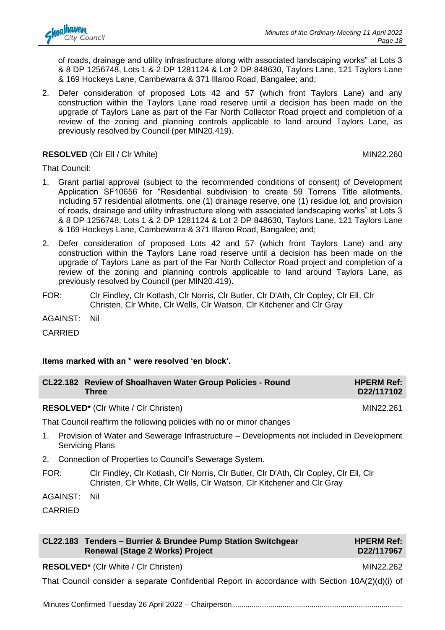of roads, drainage and utility infrastructure along with associated landscaping works" at Lots 3 & 8 DP 1256748, Lots 1 & 2 DP 1281124 & Lot 2 DP 848630, Taylors Lane, 121 Taylors Lane & 169 Hockeys Lane, Cambewarra & 371 Illaroo Road, Bangalee; and;

2. Defer consideration of proposed Lots 42 and 57 (which front Taylors Lane) and any construction within the Taylors Lane road reserve until a decision has been made on the upgrade of Taylors Lane as part of the Far North Collector Road project and completion of a review of the zoning and planning controls applicable to land around Taylors Lane, as previously resolved by Council (per MIN20.419).

#### **RESOLVED** (CIr Ell / CIr White) MIN22.260

That Council:

- 1. Grant partial approval (subject to the recommended conditions of consent) of Development Application SF10656 for "Residential subdivision to create 59 Torrens Title allotments, including 57 residential allotments, one (1) drainage reserve, one (1) residue lot, and provision of roads, drainage and utility infrastructure along with associated landscaping works" at Lots 3 & 8 DP 1256748, Lots 1 & 2 DP 1281124 & Lot 2 DP 848630, Taylors Lane, 121 Taylors Lane & 169 Hockeys Lane, Cambewarra & 371 Illaroo Road, Bangalee; and;
- 2. Defer consideration of proposed Lots 42 and 57 (which front Taylors Lane) and any construction within the Taylors Lane road reserve until a decision has been made on the upgrade of Taylors Lane as part of the Far North Collector Road project and completion of a review of the zoning and planning controls applicable to land around Taylors Lane, as previously resolved by Council (per MIN20.419).
- FOR: Clr Findley, Clr Kotlash, Clr Norris, Clr Butler, Clr D'Ath, Clr Copley, Clr Ell, Clr Christen, Clr White, Clr Wells, Clr Watson, Clr Kitchener and Clr Gray

AGAINST: Nil

CARRIED

#### **Items marked with an \* were resolved 'en block'.**

| CL22.182 Review of Shoalhaven Water Group Policies - Round | <b>HPERM Ref:</b> |
|------------------------------------------------------------|-------------------|
| Three                                                      | D22/117102        |

**RESOLVED<sup>\*</sup>** (Clr White / Clr Christen) MIN22.261

That Council reaffirm the following policies with no or minor changes

- 1. Provision of Water and Sewerage Infrastructure Developments not included in Development Servicing Plans
- 2. Connection of Properties to Council's Sewerage System.
- FOR: Clr Findley, Clr Kotlash, Clr Norris, Clr Butler, Clr D'Ath, Clr Copley, Clr Ell, Clr Christen, Clr White, Clr Wells, Clr Watson, Clr Kitchener and Clr Gray

AGAINST: Nil

CARRIED

| CL22.183 Tenders - Burrier & Brundee Pump Station Switchgear |
|--------------------------------------------------------------|
| Renewal (Stage 2 Works) Project                              |

#### **HPERM Ref: D22/117967**

**RESOLVED\*** (CIr White / CIr Christen) MIN22.262

That Council consider a separate Confidential Report in accordance with Section 10A(2)(d)(i) of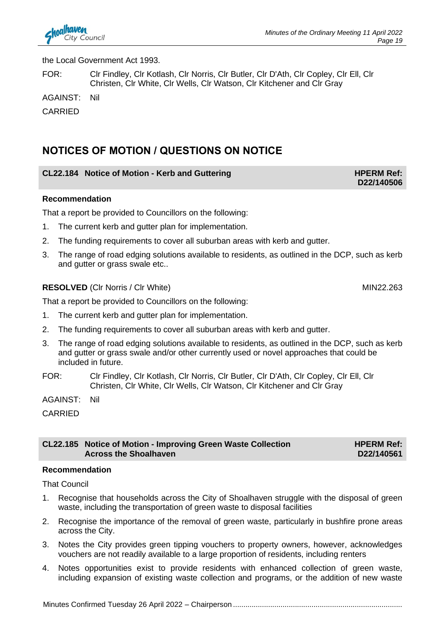

the Local Government Act 1993.

FOR: Clr Findley, Clr Kotlash, Clr Norris, Clr Butler, Clr D'Ath, Clr Copley, Clr Ell, Clr Christen, Clr White, Clr Wells, Clr Watson, Clr Kitchener and Clr Gray

AGAINST: Nil

CARRIED

## **NOTICES OF MOTION / QUESTIONS ON NOTICE**

#### **CL22.184** Notice of Motion - Kerb and Guttering **HPERM Ref: HPERM Ref:**

#### **Recommendation**

That a report be provided to Councillors on the following:

- 1. The current kerb and gutter plan for implementation.
- 2. The funding requirements to cover all suburban areas with kerb and gutter.
- 3. The range of road edging solutions available to residents, as outlined in the DCP, such as kerb and gutter or grass swale etc..

#### **RESOLVED** (CIr Norris / CIr White) MIN22.263

That a report be provided to Councillors on the following:

- 1. The current kerb and gutter plan for implementation.
- 2. The funding requirements to cover all suburban areas with kerb and gutter.
- 3. The range of road edging solutions available to residents, as outlined in the DCP, such as kerb and gutter or grass swale and/or other currently used or novel approaches that could be included in future.
- FOR: Clr Findley, Clr Kotlash, Clr Norris, Clr Butler, Clr D'Ath, Clr Copley, Clr Ell, Clr Christen, Clr White, Clr Wells, Clr Watson, Clr Kitchener and Clr Gray

AGAINST: Nil

CARRIED

#### **CL22.185 Notice of Motion - Improving Green Waste Collection Across the Shoalhaven**

#### **Recommendation**

That Council

- 1. Recognise that households across the City of Shoalhaven struggle with the disposal of green waste, including the transportation of green waste to disposal facilities
- 2. Recognise the importance of the removal of green waste, particularly in bushfire prone areas across the City.
- 3. Notes the City provides green tipping vouchers to property owners, however, acknowledges vouchers are not readily available to a large proportion of residents, including renters
- 4. Notes opportunities exist to provide residents with enhanced collection of green waste, including expansion of existing waste collection and programs, or the addition of new waste

**D22/140506**

**HPERM Ref: D22/140561**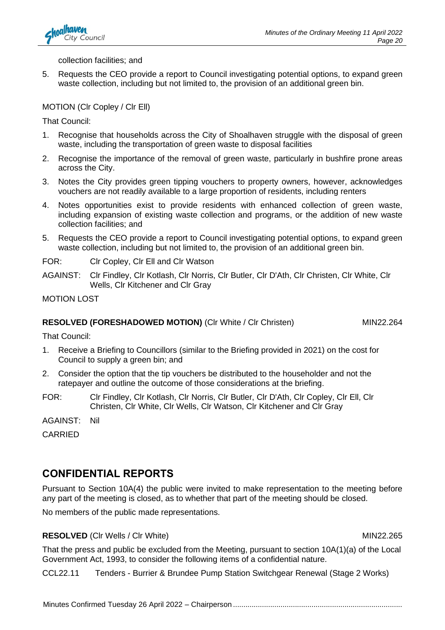

collection facilities; and

5. Requests the CEO provide a report to Council investigating potential options, to expand green waste collection, including but not limited to, the provision of an additional green bin.

#### MOTION (Clr Copley / Clr Ell)

That Council:

- 1. Recognise that households across the City of Shoalhaven struggle with the disposal of green waste, including the transportation of green waste to disposal facilities
- 2. Recognise the importance of the removal of green waste, particularly in bushfire prone areas across the City.
- 3. Notes the City provides green tipping vouchers to property owners, however, acknowledges vouchers are not readily available to a large proportion of residents, including renters
- 4. Notes opportunities exist to provide residents with enhanced collection of green waste, including expansion of existing waste collection and programs, or the addition of new waste collection facilities; and
- 5. Requests the CEO provide a report to Council investigating potential options, to expand green waste collection, including but not limited to, the provision of an additional green bin.

FOR: Clr Copley, Clr Ell and Clr Watson

AGAINST: Clr Findley, Clr Kotlash, Clr Norris, Clr Butler, Clr D'Ath, Clr Christen, Clr White, Clr Wells, Clr Kitchener and Clr Gray

MOTION LOST

#### **RESOLVED (FORESHADOWED MOTION)** (CIr White / CIr Christen) MIN22.264

That Council:

- 1. Receive a Briefing to Councillors (similar to the Briefing provided in 2021) on the cost for Council to supply a green bin; and
- 2. Consider the option that the tip vouchers be distributed to the householder and not the ratepayer and outline the outcome of those considerations at the briefing.
- FOR: Clr Findley, Clr Kotlash, Clr Norris, Clr Butler, Clr D'Ath, Clr Copley, Clr Ell, Clr Christen, Clr White, Clr Wells, Clr Watson, Clr Kitchener and Clr Gray

AGAINST: Nil

CARRIED

## **CONFIDENTIAL REPORTS**

Pursuant to Section 10A(4) the public were invited to make representation to the meeting before any part of the meeting is closed, as to whether that part of the meeting should be closed.

No members of the public made representations.

#### **RESOLVED** (CIr Wells / CIr White) MIN22.265

That the press and public be excluded from the Meeting, pursuant to section 10A(1)(a) of the Local Government Act, 1993, to consider the following items of a confidential nature.

CCL22.11 Tenders - Burrier & Brundee Pump Station Switchgear Renewal (Stage 2 Works)